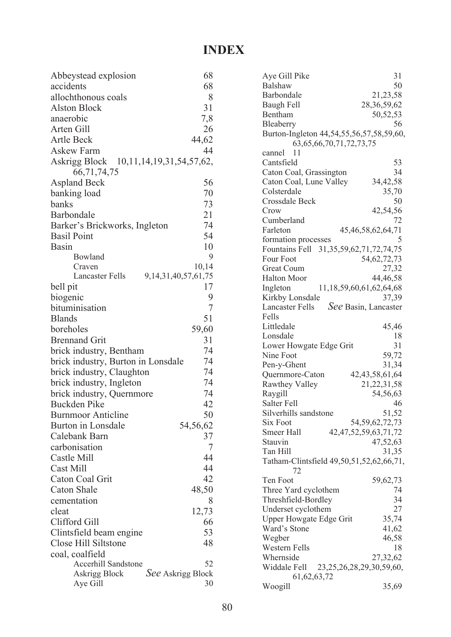## **INDEX**

| Abbeystead explosion                                             | 68          |
|------------------------------------------------------------------|-------------|
| accidents                                                        | 68          |
| allochthonous coals                                              | 8           |
| <b>Alston Block</b>                                              | 31          |
| anaerobic                                                        | 7,8         |
| Arten Gill                                                       | 26          |
| <b>Artle Beck</b>                                                | 44,62       |
| <b>Askew Farm</b>                                                | 44          |
| Askrigg Block 10,11,14,19,31,54,57,62,                           |             |
| 66, 71, 74, 75                                                   |             |
| <b>Aspland Beck</b>                                              | 56          |
| banking load                                                     | 70          |
| banks                                                            | 73          |
| Barbondale                                                       | 21          |
| Barker's Brickworks, Ingleton                                    | 74          |
| <b>Basil Point</b>                                               | 54          |
| Basin                                                            | 10          |
| Bowland                                                          | 9           |
| Craven                                                           | 10,14       |
| <b>Lancaster Fells</b><br>9, 14, 31, 40, 57, 61, 75              |             |
| bell pit                                                         | 17          |
| biogenic                                                         | 9<br>7      |
| bituminisation                                                   |             |
| <b>Blands</b><br>boreholes                                       | 51          |
| <b>Brennand Grit</b>                                             | 59,60<br>31 |
|                                                                  | 74          |
| brick industry, Bentham                                          |             |
| brick industry, Burton in Lonsdale                               | 74          |
| brick industry, Claughton                                        | 74          |
| brick industry, Ingleton                                         | 74          |
| brick industry, Quernmore                                        | 74          |
| <b>Buckden Pike</b>                                              | 42          |
| <b>Burnmoor Anticline</b>                                        | 50          |
| Burton in Lonsdale<br>54,56,62                                   |             |
| Calebank Barn                                                    | 37          |
| carbonisation                                                    | 7           |
| Castle Mill                                                      | 44          |
| <b>Cast Mill</b>                                                 | 44          |
| Caton Coal Grit                                                  | 42          |
| <b>Caton Shale</b>                                               | 48,50       |
| cementation                                                      | 8           |
| cleat                                                            | 12,73       |
| Clifford Gill                                                    | 66          |
| Clintsfield beam engine                                          | 53          |
| Close Hill Siltstone                                             | 48          |
| coal, coalfield                                                  |             |
| <b>Accerhill Sandstone</b><br>See Askrigg Block<br>Askrigg Block | 52          |
| Aye Gill                                                         | 30          |

| Aye Gill Pike                                   | 31                         |
|-------------------------------------------------|----------------------------|
| <b>Balshaw</b>                                  | 50                         |
| Barbondale                                      | 21,23,58                   |
| Baugh Fell                                      | 28, 36, 59, 62             |
| Bentham                                         | 50, 52, 53                 |
| Bleaberry                                       | 56                         |
| Burton-Ingleton 44,54,55,56,57,58,59,60,        |                            |
| 63, 65, 66, 70, 71, 72, 73, 75                  |                            |
| 11<br>cannel                                    |                            |
| Cantsfield                                      | 53                         |
| Caton Coal, Grassington                         | 34                         |
| Caton Coal, Lune Valley                         | 34,42,58                   |
| Colsterdale                                     | 35,70                      |
| Crossdale Beck                                  | 50                         |
| Crow                                            | 42,54,56                   |
| Cumberland                                      | 72                         |
| Farleton                                        | 45, 46, 58, 62, 64, 71     |
| formation processes                             | 5                          |
| Fountains Fell 31,35,59,62,71,72,74,75          |                            |
|                                                 |                            |
| Four Foot                                       | 54, 62, 72, 73             |
| <b>Great Coum</b>                               | 27,32                      |
| <b>Halton Moor</b>                              | 44,46,58                   |
| 11, 18, 59, 60, 61, 62, 64, 68<br>Ingleton      |                            |
| Kirkby Lonsdale                                 | 37,39                      |
| <b>Lancaster Fells</b>                          | See Basin, Lancaster       |
| Fells                                           |                            |
| Littledale                                      | 45,46                      |
| Lonsdale                                        | 18                         |
| Lower Howgate Edge Grit                         | 31                         |
| Nine Foot                                       | 59,72                      |
| Pen-y-Ghent                                     | 31,34                      |
| Quernmore-Caton                                 | 42, 43, 58, 61, 64         |
| <b>Rawthey Valley</b>                           | 21, 22, 31, 58             |
| Raygill                                         | 54,56,63                   |
| Salter Fell                                     | 46                         |
| Silverhills sandstone                           | 51,52                      |
| <b>Six Foot</b>                                 | 54, 59, 62, 72, 73         |
| Smeer Hall                                      | 42, 47, 52, 59, 63, 71, 72 |
| Stauvin                                         | 47,52,63                   |
| Tan Hill                                        | 31,35                      |
| Tatham-Clintsfield 49,50,51,52,62,66,71,        |                            |
| 72                                              |                            |
| Ten Foot                                        | 59,62,73                   |
| Three Yard cyclothem                            | 74                         |
| Threshfield-Bordley                             | 34                         |
| Underset cyclothem                              | 27                         |
| <b>Upper Howgate Edge Grit</b>                  | 35,74                      |
| Ward's Stone                                    | 41,62                      |
| Wegber                                          | 46,58                      |
| Western Fells                                   | 18                         |
| Whernside                                       | 27,32,62                   |
| Widdale Fell<br>23, 25, 26, 28, 29, 30, 59, 60, |                            |
| 61, 62, 63, 72                                  |                            |
| Woogill                                         | 35,69                      |
|                                                 |                            |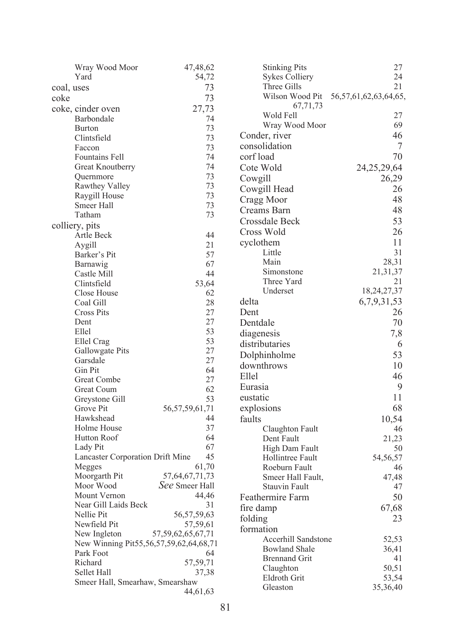|            | Wray Wood Moor                          | 47,48,62               | <b>Stinking Pits</b>  | 27                          |
|------------|-----------------------------------------|------------------------|-----------------------|-----------------------------|
|            | Yard                                    | 54,72                  | <b>Sykes Colliery</b> | 24                          |
| coal, uses |                                         | 73                     | Three Gills           | 21                          |
| coke       |                                         | 73                     | Wilson Wood Pit       | 56, 57, 61, 62, 63, 64, 65, |
|            | coke, cinder oven                       | 27,73                  | 67,71,73              |                             |
|            | Barbondale                              | 74                     | Wold Fell             | 27                          |
|            | <b>Burton</b>                           | 73                     | Wray Wood Moor        | 69                          |
|            | Clintsfield                             | 73                     | Conder, river         | 46                          |
|            | Faccon                                  | 73                     | consolidation         | 7                           |
|            | Fountains Fell                          | 74                     | corf load             | 70                          |
|            | Great Knoutberry                        | 74                     | Cote Wold             | 24, 25, 29, 64              |
|            | Quernmore                               | 73                     | Cowgill               | 26,29                       |
|            | Rawthey Valley                          | 73                     | Cowgill Head          | 26                          |
|            | Raygill House                           | 73                     | Cragg Moor            | 48                          |
|            | Smeer Hall                              | 73                     | Creams Barn           | 48                          |
|            | Tatham                                  | 73                     |                       | 53                          |
|            | colliery, pits                          |                        | Crossdale Beck        |                             |
|            | Artle Beck                              | 44                     | Cross Wold            | 26                          |
|            | Aygill                                  | 21                     | cyclothem             | 11                          |
|            | Barker's Pit                            | 57                     | Little                | 31                          |
|            | Barnawig                                | 67                     | Main                  | 28,31                       |
|            | Castle Mill                             | 44                     | Simonstone            | 21, 31, 37                  |
|            | Clintsfield                             | 53,64                  | Three Yard            | 21                          |
|            | Close House                             | 62                     | Underset              | 18,24,27,37                 |
|            | Coal Gill                               | 28                     | delta                 | 6,7,9,31,53                 |
|            | <b>Cross Pits</b>                       | 27                     | Dent                  | 26                          |
|            | Dent                                    | 27                     | Dentdale              | 70                          |
|            | Ellel                                   | 53                     | diagenesis            | 7,8                         |
|            | Ellel Crag                              | 53                     | distributaries        | 6                           |
|            | Gallowgate Pits                         | 27                     | Dolphinholme          | 53                          |
|            | Garsdale                                | 27                     | downthrows            | 10                          |
|            | Gin Pit                                 | 64                     | Ellel                 | 46                          |
|            | <b>Great Combe</b>                      | 27                     |                       |                             |
|            | <b>Great Coum</b>                       | 62                     | Eurasia               | 9                           |
|            | Greystone Gill                          | 53                     | eustatic              | 11                          |
|            | Grove Pit                               | 56, 57, 59, 61, 71     | explosions            | 68                          |
|            | Hawkshead                               | 44                     | faults                | 10,54                       |
|            | Holme House                             | 37                     | Claughton Fault       | 46                          |
|            | Hutton Roof                             | 64                     | Dent Fault            | 21,23                       |
|            | Lady Pit                                | 67                     | High Dam Fault        | 50                          |
|            | <b>Lancaster Corporation Drift Mine</b> | 45                     | Hollintree Fault      | 54,56,57                    |
|            | Megges                                  | 61,70                  | Roeburn Fault         | 46                          |
|            | Moorgarth Pit                           | 57, 64, 67, 71, 73     | Smeer Hall Fault,     | 47,48                       |
|            | Moor Wood                               | See Smeer Hall         | <b>Stauvin Fault</b>  | 47                          |
|            | Mount Vernon                            | 44,46                  | Feathermire Farm      | 50                          |
|            | Near Gill Laids Beck                    | 31                     | fire damp             | 67,68                       |
|            | Nellie Pit                              | 56, 57, 59, 63         | folding               | 23                          |
|            | Newfield Pit                            | 57,59,61               | formation             |                             |
|            | New Ingleton                            | 57, 59, 62, 65, 67, 71 | Accerhill Sandstone   | 52,53                       |
|            | New Winning Pit55,56,57,59,62,64,68,71  |                        | <b>Bowland Shale</b>  | 36,41                       |
|            | Park Foot<br>Richard                    | 64<br>57,59,71         | <b>Brennand Grit</b>  | 41                          |
|            | Sellet Hall                             | 37,38                  | Claughton             | 50,51                       |
|            | Smeer Hall, Smearhaw, Smearshaw         |                        | Eldroth Grit          | 53,54                       |
|            |                                         | 44,61,63               | Gleaston              | 35,36,40                    |
|            |                                         |                        |                       |                             |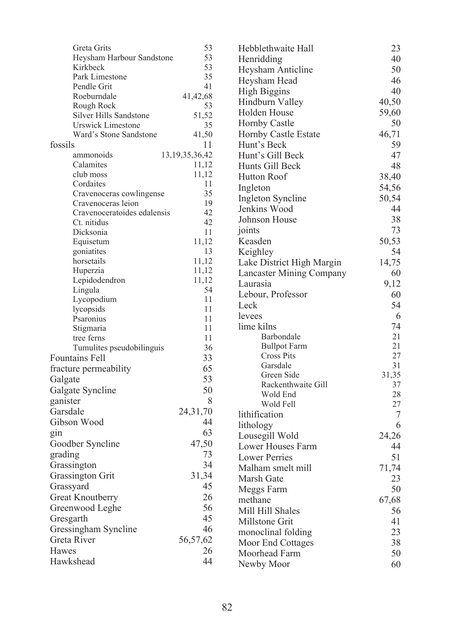| Greta Grits                                               | 53                 | Hebblethwaite Hall              | 23             |
|-----------------------------------------------------------|--------------------|---------------------------------|----------------|
| Heysham Harbour Sandstone                                 | 53                 | Henridding                      | 40             |
| Kirkbeck                                                  | 53                 | <b>Heysham Anticline</b>        | 50             |
| Park Limestone                                            | 35                 | Heysham Head                    | 46             |
| Pendle Grit                                               | 41                 | <b>High Biggins</b>             | 40             |
| Roeburndale                                               | 41,42,68           | Hindburn Valley                 | 40,50          |
| Rough Rock                                                | 53                 | Holden House                    | 59,60          |
| <b>Silver Hills Sandstone</b><br><b>Urswick Limestone</b> | 51,52<br>35        | <b>Hornby Castle</b>            | 50             |
| Ward's Stone Sandstone                                    | 41,50              | <b>Hornby Castle Estate</b>     | 46,71          |
| fossils                                                   | 11                 | Hunt's Beck                     | 59             |
| ammonoids                                                 | 13, 19, 35, 36, 42 | Hunt's Gill Beck                | 47             |
| Calamites                                                 | 11,12              | Hunts Gill Beck                 | 48             |
| club moss                                                 | 11,12              | Hutton Roof                     |                |
| Cordaites                                                 | 11                 |                                 | 38,40          |
| Cravenoceras cowlingense                                  | 35                 | Ingleton                        | 54,56          |
| Cravenoceras leion                                        | 19                 | Ingleton Syncline               | 50,54          |
| Cravenoceratoides edalensis                               | 42                 | Jenkins Wood                    | 44             |
| Ct. nitidus                                               | 42                 | Johnson House                   | 38             |
| Dicksonia                                                 | 11                 | joints                          | 73             |
| Equisetum                                                 | 11,12              | Keasden                         | 50,53          |
| goniatites                                                | 13                 | Keighley                        | 54             |
| horsetails                                                | 11,12              | Lake District High Margin       | 14,75          |
| Huperzia                                                  | 11,12              | <b>Lancaster Mining Company</b> | 60             |
| Lepidodendron                                             | 11,12<br>54        | Laurasia                        | 9,12           |
| Lingula<br>Lycopodium                                     | 11                 | Lebour, Professor               | 60             |
| lycopsids                                                 | 11                 | Leck                            | 54             |
| Psaronius                                                 | 11                 | levees                          | 6              |
| Stigmaria                                                 | 11                 | lime kilns                      | 74             |
| tree ferns                                                | 11                 | Barbondale                      | 21             |
| Tumulites pseudobilinguis                                 | 36                 | <b>Bullpot Farm</b>             | 21             |
| <b>Fountains Fell</b>                                     | 33                 | <b>Cross Pits</b>               | 27             |
| fracture permeability                                     | 65                 | Garsdale                        | 31             |
| Galgate                                                   | 53                 | Green Side                      | 31,35          |
| Galgate Syncline                                          | 50                 | Rackenthwaite Gill              | 37             |
| ganister                                                  | 8                  | Wold End                        | 28             |
| Garsdale                                                  | 24, 31, 70         | Wold Fell                       | 27             |
| Gibson Wood                                               | 44                 | lithification                   | $\overline{7}$ |
| gin                                                       | 63                 | lithology                       | 6              |
| Goodber Syncline                                          | 47,50              | Lousegill Wold                  | 24,26          |
| grading                                                   | 73                 | Lower Houses Farm               | 44             |
| Grassington                                               | 34                 | <b>Lower Perries</b>            | 51             |
| <b>Grassington Grit</b>                                   | 31,34              | Malham smelt mill               | 71,74          |
|                                                           | 45                 | Marsh Gate                      | 23             |
| Grassyard                                                 |                    | Meggs Farm                      | 50             |
| <b>Great Knoutberry</b>                                   | 26                 | methane                         | 67,68          |
| Greenwood Leghe                                           | 56                 | Mill Hill Shales                | 56             |
| Gresgarth                                                 | 45                 | Millstone Grit                  | 41             |
| Gressingham Syncline                                      | 46                 | monoclinal folding              | 23             |
| Greta River                                               | 56,57,62           | <b>Moor End Cottages</b>        | 38             |
| Hawes                                                     | 26                 | Moorhead Farm                   | 50             |
| Hawkshead                                                 | 44                 | Newby Moor                      | 60             |
|                                                           |                    |                                 |                |